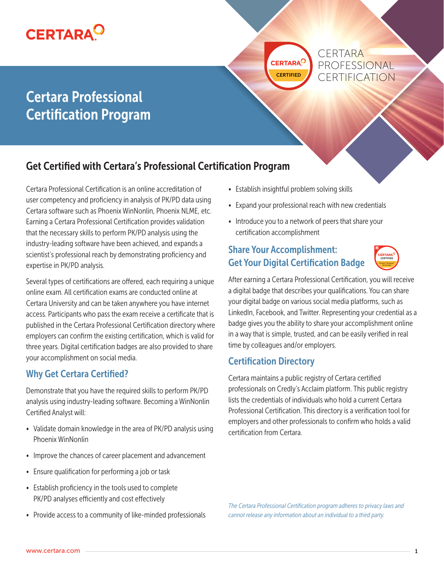

**CERTARA<sup>C</sup>** 

**CERTARA** PROFESSIONAL CERTIFICATION

# Certara Professional Certification Program

# Get Certified with Certara's Professional Certification Program

Certara Professional Certification is an online accreditation of user competency and proficiency in analysis of PK/PD data using Certara software such as Phoenix WinNonlin, Phoenix NLME, etc. Earning a Certara Professional Certification provides validation that the necessary skills to perform PK/PD analysis using the industry-leading software have been achieved, and expands a scientist's professional reach by demonstrating proficiency and expertise in PK/PD analysis.

Several types of certifications are offered, each requiring a unique online exam. All certification exams are conducted online at Certara University and can be taken anywhere you have internet access. Participants who pass the exam receive a certificate that is published in the Certara Professional Certification directory where employers can confirm the existing certification, which is valid for three years. Digital certification badges are also provided to share your accomplishment on social media.

### Why Get Certara Certified?

Demonstrate that you have the required skills to perform PK/PD analysis using industry-leading software. Becoming a WinNonlin Certified Analyst will:

- Validate domain knowledge in the area of PK/PD analysis using Phoenix WinNonlin
- Improve the chances of career placement and advancement
- Ensure qualification for performing a job or task
- Establish proficiency in the tools used to complete PK/PD analyses efficiently and cost effectively
- Provide access to a community of like-minded professionals
- Establish insightful problem solving skills
- Expand your professional reach with new credentials
- Introduce you to a network of peers that share your certification accomplishment

### Share Your Accomplishment: Get Your Digital Certification Badge



After earning a Certara Professional Certification, you will receive a digital badge that describes your qualifications. You can share your digital badge on various social media platforms, such as LinkedIn, Facebook, and Twitter. Representing your credential as a badge gives you the ability to share your accomplishment online in a way that is simple, trusted, and can be easily verified in real time by colleagues and/or employers.

#### Certification Directory

Certara maintains a public registry of Certara certified professionals on Credly's Acclaim platform. This public registry lists the credentials of individuals who hold a current Certara Professional Certification. This directory is a verification tool for employers and other professionals to confirm who holds a valid certification from Certara.

*The Certara Professional Certification program adheres to privacy laws and cannot release any information about an individual to a third party.*